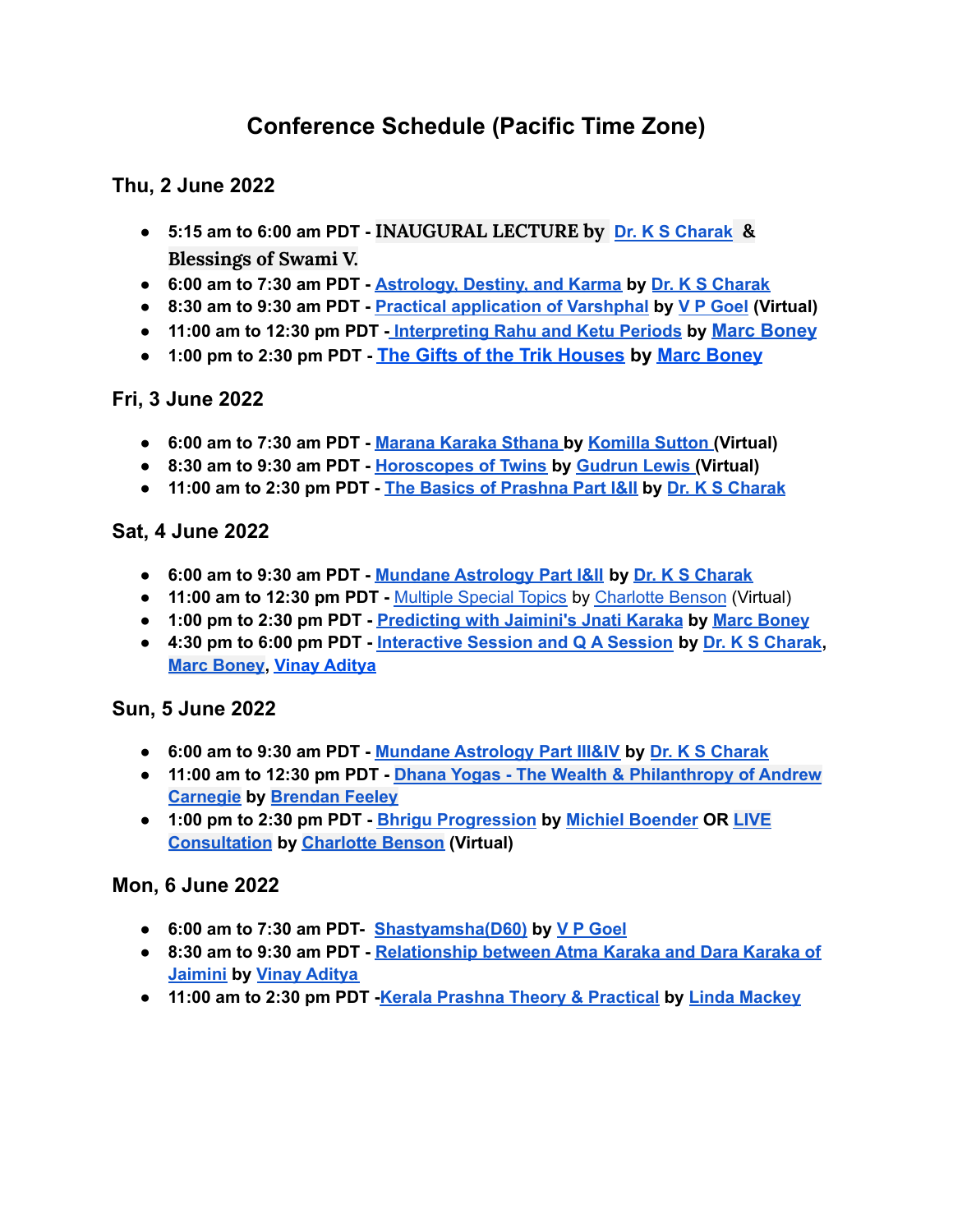# **Conference Schedule (Pacific Time Zone)**

# **Thu, 2 June 2022**

- **5:15 am to 6:00 am PDT - INAUGURAL LECTURE by Dr. K S [Charak](https://jyotish.com/dr-ks-charak) & Blessings of Swami V.**
- **6:00 am to 7:30 am PDT - [Astrology,](https://jyotish.com/dr-ks-charak/#topics2022) Destiny, and Karma by Dr. K S [Charak](https://jyotish.com/dr-ks-charak)**
- **8:30 am to 9:30 am PDT - Practical [application](https://jyotish.com/v-p-goel/#topics2022) of Varshphal by V P [Goel](https://jyotish.com/v-p-goel) (Virtual)**
- **11:00 am to 12:30 pm PDT [-](https://jyotish.com/dr-ks-charak/#topics2022) [Interpreting](https://jyotish.com/marc-boney-2/#topics2022) Rahu and Ketu Periods by [Marc Boney](https://jyotish.com/marc-boney-2/)**
- **1:00 pm to 2:30 pm PDT - [The Gifts of the Trik Houses](https://jyotish.com/marc-boney-2/#topics2022) by [Marc Boney](https://jyotish.com/marc-boney-2/)**

# **Fri, 3 June 2022**

- **● 6:00 am to 7:30 am PDT - [Marana](https://jyotish.com/komillasutton/#topics2022) Karaka Sthana by [Komilla](https://jyotish.com/komillasutton) Sutton (Virtual)**
- **● 8:30 am to 9:30 am PDT - [Horoscopes](https://jyotish.com/gudrun_lewis/#topics2022) of Twins by [Gudrun](https://jyotish.com/gudrun_lewis) Lewis (Virtual)**
- **● 11:00 am to 2:30 pm PDT - The Basics of [Prashna](https://jyotish.com/dr-ks-charak/#topics2022) Part I&II by Dr. K S [Charak](https://jyotish.com/dr-ks-charak)**

#### **Sat, 4 June 2022**

- **● 6:00 am to 9:30 am PDT - Mundane [Astrology](https://jyotish.com/dr-ks-charak/#topics2022) Part I&II by Dr. K S [Charak](https://jyotish.com/dr-ks-charak)**
- **● 11:00 am to 12:30 pm PDT -** [Multiple](https://jyotish.com/charlottebenson/#topics2022) Special Topics by [Charlotte](https://jyotish.com/charlottebenson) Benson (Virtual)
- **● 1:00 pm to 2:30 pm PDT - [Predicting](https://jyotish.com/marc-boney-2/#topics2022) with Jaimini's Jnati Karaka by Marc [Boney](https://jyotish.com/marc-boney-2/)**
- **● 4:30 pm to 6:00 pm PDT - [Interactive](https://jyotish.com/dr-ks-charak/#topics2022) Session and Q A Session by Dr. K S [Charak](https://jyotish.com/dr-ks-charak), Marc [Boney](https://jyotish.com/marc-boney-2/), Vinay [Aditya](https://jyotish.com/vinay-aditya)**

# **Sun, 5 June 2022**

- **6:00 am to 9:30 am PDT - Mundane [Astrology](https://jyotish.com/dr-ks-charak/#topics2022) Part III&IV by Dr. K S [Charak](https://jyotish.com/dr-ks-charak)**
- **11:00 am to 12:30 pm PDT - Dhana Yogas - The Wealth & [Philanthropy](https://jyotish.com/brendan-feeley/#topics2022) of Andrew [Carnegie](https://jyotish.com/brendan-feeley/#topics2022) by [Brendan](https://jyotish.com/brendan-feeley) Feeley**
- **1:00 pm to 2:30 pm PDT - Bhrigu [Progression](https://jyotish.com/michielboender/#topics2022) by Michiel [Boender](https://jyotish.com/michielboender) OR [LIVE](https://jyotish.com/charlottebenson/#topics2022) [Consultation](https://jyotish.com/charlottebenson/#topics2022) by [Charlotte](https://jyotish.com/charlottebenson/) Benson (Virtual)**

# **Mon, 6 June 2022**

- **● 6:00 am to 7:30 am PDT- [Shastyamsha\(D60\)](https://jyotish.com/v-p-goel/#topics2022) by V P [Goel](https://jyotish.com/v-p-goel)**
- **● 8:30 am to 9:30 am PDT - [Relationship](https://jyotish.com/vinay-aditya/#topics2022) between Atma Karaka and Dara Karaka of [Jaimini](https://jyotish.com/vinay-aditya/#topics2022) by Vinay [Aditya](https://jyotish.com/vinay-aditya)**
- **● 11:00 am to 2:30 pm PDT -Kerala Prashna Theory & [Practical](https://jyotish.com/linda-mackey/#topics2022) by Linda [Mackey](https://jyotish.com/linda-mackey/)**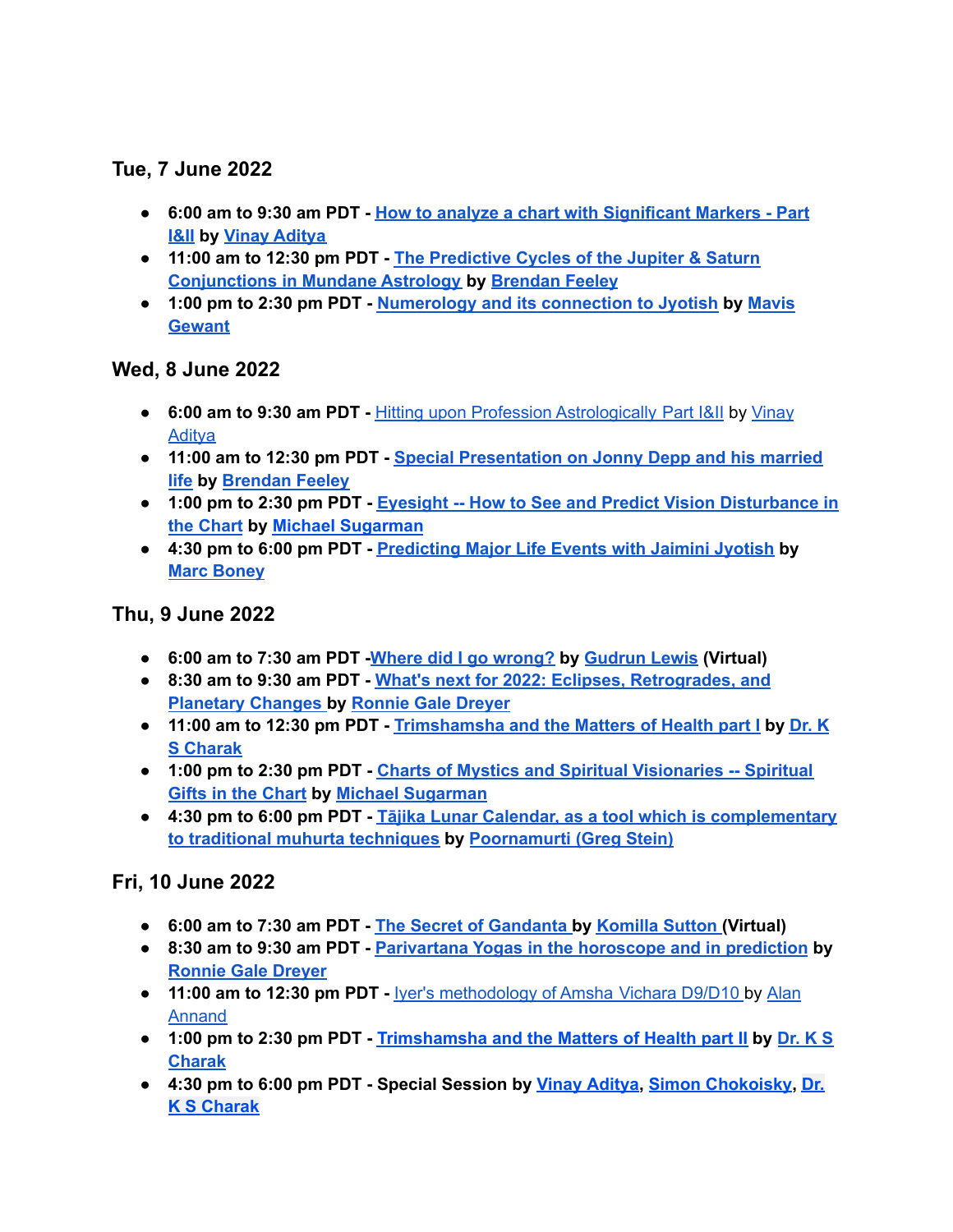# **Tue, 7 June 2022**

- **● 6:00 am to 9:30 am PDT - How to analyze a chart with [Significant](https://jyotish.com/vinay-aditya/#topics2022) Markers - Part [I&II](https://jyotish.com/vinay-aditya/#topics2022) by Vinay [Aditya](https://jyotish.com/vinay-aditya)**
- **● 11:00 am to 12:30 pm PDT - The [Predictive](https://jyotish.com/brendan-feeley/topics2022) Cycles of the Jupiter & Saturn [Conjunctions](https://jyotish.com/brendan-feeley/topics2022) in Mundane Astrology by [Brendan](https://jyotish.com/brendan-feeley) Feeley**
- **● 1:00 pm to 2:30 pm PDT - [Numerology](https://jyotish.com/mavis-gewant/#topics2022) and its connection to Jyotish by [Mavis](https://jyotish.com/mavis-gewant/) [Gewant](https://jyotish.com/mavis-gewant/)**

## **Wed, 8 June 2022**

- **● 6:00 am to 9:30 am PDT -** Hitting upon Profession [Astrologically](https://jyotish.com/vinay-aditya/#topics2022) Part I&II by [Vinay](https://jyotish.com/vinay-aditya) **[Aditya](https://jyotish.com/vinay-aditya)**
- **● 11:00 am to 12:30 pm PDT - Special [Presentation](https://jyotish.com/brendan-feeley/#topics2022) on Jonny Depp and his married [life](https://jyotish.com/brendan-feeley/#topics2022) by [Brendan](https://jyotish.com/brendan-feeley) Feeley**
- **● 1:00 pm to 2:30 pm PDT - Eyesight -- How to See and Predict Vision [Disturbance](https://jyotish.com/michaelsugarman/#topics2022) in the [Chart](https://jyotish.com/michaelsugarman/#topics2022) by Michael [Sugarman](https://jyotish.com/michaelsugarman/)**
- **● 4:30 pm to 6:00 pm PDT - [Predicting](https://jyotish.com/marc-boney-2/#topics2022) Major Life Events with Jaimini Jyotish by Marc [Boney](https://jyotish.com/marc-boney-2/)**

## **Thu, 9 June 2022**

- **● 6:00 am to 7:30 am PDT -Where did I go [wrong?](https://jyotish.com/gudrun_lewis/#topics2022) by [Gudrun](https://jyotish.com/gudrun_lewis/) Lewis (Virtual)**
- **● 8:30 am to 9:30 am PDT - What's next for 2022: Eclipses, [Retrogrades,](https://jyotish.com/ronnie_gale_dreyer/#topics2022) and [Planetary](https://jyotish.com/ronnie_gale_dreyer/#topics2022) Changes by [Ronnie](https://jyotish.com/ronnie_gale_dreyer) Gale Dreyer**
- **● 11:00 am to 12:30 pm PDT - [Trimshamsha](https://jyotish.com/dr-ks-charak/#topics2022) and the Matters of Health part I by [Dr.](https://jyotish.com/dr-ks-charak) K S [Charak](https://jyotish.com/dr-ks-charak)**
- **● 1:00 pm to 2:30 pm PDT - Charts of Mystics and Spiritual [Visionaries](https://jyotish.com/michaelsugarman/#topics2022) -- Spiritual Gifts in the [Chart](https://jyotish.com/michaelsugarman/#topics2022) by Michael [Sugarman](https://jyotish.com/michaelsugarman/)**
- **● 4:30 pm to 6:00 pm PDT - Tājika Lunar Calendar, as a tool which is [complementary](https://jyotish.com/poornamurti/#topics2022) to traditional muhurta [techniques](https://jyotish.com/poornamurti/#topics2022) by [Poornamurti](https://jyotish.com/poornamurti/) (Greg Stein)**

# **Fri, 10 June 2022**

- **● 6:00 am to 7:30 am PDT - The Secret of [Gandanta](https://jyotish.com/komillasutton/#topics2022) [b](https://jyotish.com/alan-annand/#topics2022)y [Komilla](https://jyotish.com/komillasutton) Sutton (Virtual)**
- **● 8:30 am to 9:30 am PDT - [Parivartana](https://jyotish.com/ronnie_gale_dreyer/#topics2022) Yogas in the horoscope and in prediction b[y](https://jyotish.com/ronnie_gale_dreyer) [Ronnie](https://jyotish.com/ronnie_gale_dreyer) Gale Dreyer**
- **● 11:00 am to 12:30 pm PDT -** Iyer's [methodology](https://jyotish.com/alan-annand/#topics2022) of Amsha Vichara D9/D10 by [Alan](https://jyotish.com/alan-annand) [Annand](https://jyotish.com/alan-annand)
- **● 1:00 pm to 2:30 pm PDT - [Trimshamsha](https://jyotish.com/dr-ks-charak/#topics2022) and the Matters of Health part II by [Dr.](https://jyotish.com/dr-ks-charak) K S [Charak](https://jyotish.com/dr-ks-charak)**
- **● 4:30 pm to 6:00 pm PDT - Special Session by Vinay [Aditya,](https://jyotish.com/vinay-aditya) Simon [Chokoisky](https://jyotish.com/simonchokoisky), [Dr.](https://jyotish.com/dr-ks-charak) K S [Charak](https://jyotish.com/dr-ks-charak)**